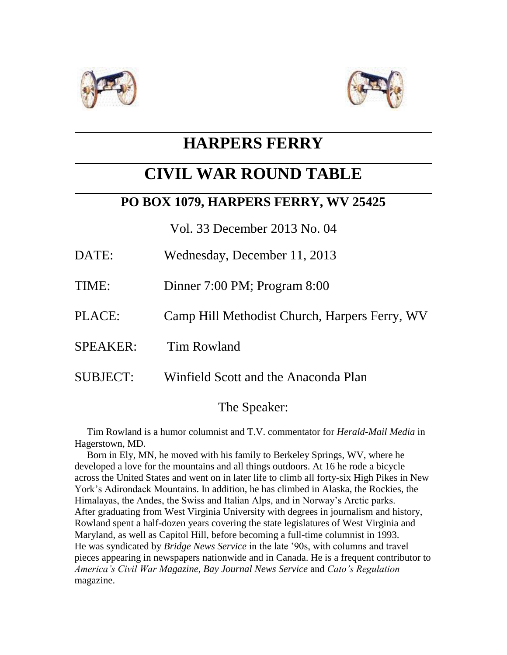



## **HARPERS FERRY**

# **CIVIL WAR ROUND TABLE**

## **PO BOX 1079, HARPERS FERRY, WV 25425**

Vol. 33 December 2013 No. 04

- DATE: Wednesday, December 11, 2013
- TIME: Dinner 7:00 PM; Program 8:00
- PLACE: Camp Hill Methodist Church, Harpers Ferry, WV
- SPEAKER: Tim Rowland
- SUBJECT: Winfield Scott and the Anaconda Plan

## The Speaker:

 Tim Rowland is a humor columnist and T.V. commentator for *Herald-Mail Media* in Hagerstown, MD.

 Born in Ely, MN, he moved with his family to Berkeley Springs, WV, where he developed a love for the mountains and all things outdoors. At 16 he rode a bicycle across the United States and went on in later life to climb all forty-six High Pikes in New York's Adirondack Mountains. In addition, he has climbed in Alaska, the Rockies, the Himalayas, the Andes, the Swiss and Italian Alps, and in Norway's Arctic parks. After graduating from West Virginia University with degrees in journalism and history, Rowland spent a half-dozen years covering the state legislatures of West Virginia and Maryland, as well as Capitol Hill, before becoming a full-time columnist in 1993. He was syndicated by *Bridge News Service* in the late '90s, with columns and travel pieces appearing in newspapers nationwide and in Canada. He is a frequent contributor to *America's Civil War Magazine*, *Bay Journal News Service* and *Cato's Regulation* magazine.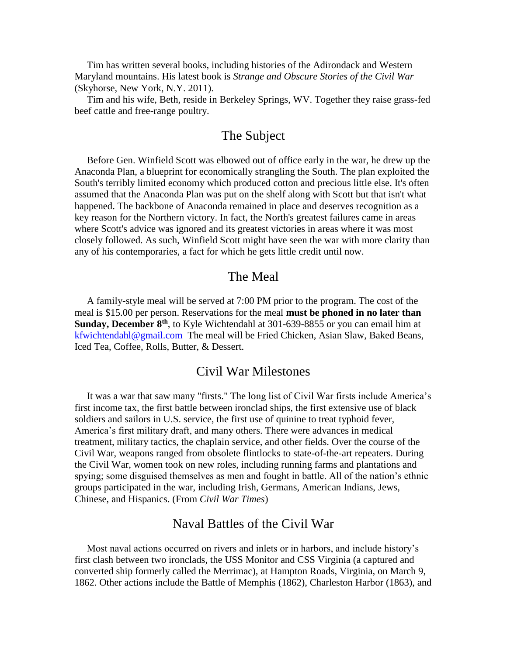Tim has written several books, including histories of the Adirondack and Western Maryland mountains. His latest book is *Strange and Obscure Stories of the Civil War* (Skyhorse, New York, N.Y. 2011).

 Tim and his wife, Beth, reside in Berkeley Springs, WV. Together they raise grass-fed beef cattle and free-range poultry.

### The Subject

 Before Gen. Winfield Scott was elbowed out of office early in the war, he drew up the Anaconda Plan, a blueprint for economically strangling the South. The plan exploited the South's terribly limited economy which produced cotton and precious little else. It's often assumed that the Anaconda Plan was put on the shelf along with Scott but that isn't what happened. The backbone of Anaconda remained in place and deserves recognition as a key reason for the Northern victory. In fact, the North's greatest failures came in areas where Scott's advice was ignored and its greatest victories in areas where it was most closely followed. As such, Winfield Scott might have seen the war with more clarity than any of his contemporaries, a fact for which he gets little credit until now.

#### The Meal

 A family-style meal will be served at 7:00 PM prior to the program. The cost of the meal is \$15.00 per person. Reservations for the meal **must be phoned in no later than Sunday, December 8th**, to Kyle Wichtendahl at 301-639-8855 or you can email him at [kfwichtendahl@gmail.com](mailto:kfwichtendahl@gmail.com) The meal will be Fried Chicken, Asian Slaw, Baked Beans, Iced Tea, Coffee, Rolls, Butter, & Dessert.

#### Civil War Milestones

 It was a war that saw many "firsts." The long list of Civil War firsts include America's first income tax, the first battle between ironclad ships, the first extensive use of black soldiers and sailors in U.S. service, the first use of quinine to treat typhoid fever, America's first military draft, and many others. There were advances in medical treatment, military tactics, the chaplain service, and other fields. Over the course of the Civil War, weapons ranged from obsolete flintlocks to state-of-the-art repeaters. During the Civil War, women took on new roles, including running farms and plantations and spying; some disguised themselves as men and fought in battle. All of the nation's ethnic groups participated in the war, including Irish, Germans, American Indians, Jews, Chinese, and Hispanics. (From *Civil War Times*)

### Naval Battles of the Civil War

 Most naval actions occurred on rivers and inlets or in harbors, and include history's first clash between two ironclads, the USS Monitor and CSS Virginia (a captured and converted ship formerly called the Merrimac), at Hampton Roads, Virginia, on March 9, 1862. Other actions include the Battle of Memphis (1862), Charleston Harbor (1863), and